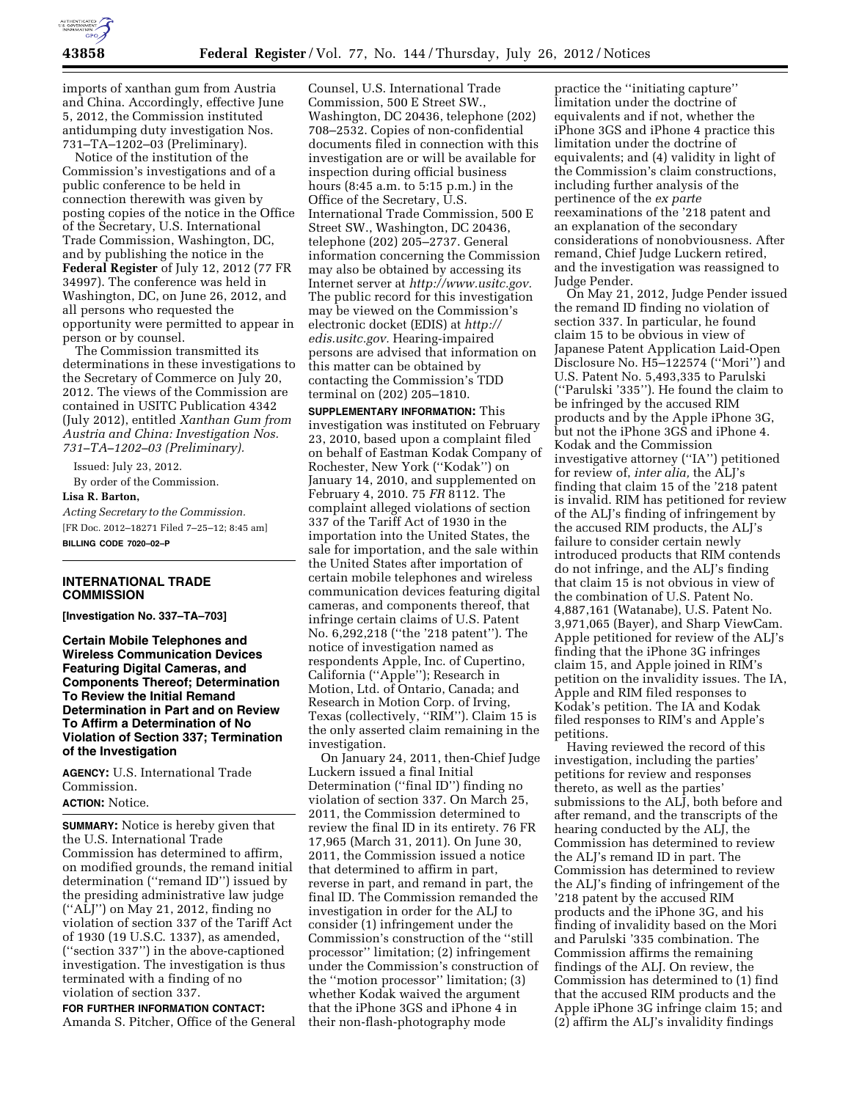

imports of xanthan gum from Austria and China. Accordingly, effective June 5, 2012, the Commission instituted antidumping duty investigation Nos. 731–TA–1202–03 (Preliminary).

Notice of the institution of the Commission's investigations and of a public conference to be held in connection therewith was given by posting copies of the notice in the Office of the Secretary, U.S. International Trade Commission, Washington, DC, and by publishing the notice in the **Federal Register** of July 12, 2012 (77 FR 34997). The conference was held in Washington, DC, on June 26, 2012, and all persons who requested the opportunity were permitted to appear in person or by counsel.

The Commission transmitted its determinations in these investigations to the Secretary of Commerce on July 20, 2012. The views of the Commission are contained in USITC Publication 4342 (July 2012), entitled *Xanthan Gum from Austria and China: Investigation Nos. 731–TA–1202–03 (Preliminary).* 

Issued: July 23, 2012. By order of the Commission. **Lisa R. Barton,** 

*Acting Secretary to the Commission.*  [FR Doc. 2012–18271 Filed 7–25–12; 8:45 am] **BILLING CODE 7020–02–P** 

#### **INTERNATIONAL TRADE COMMISSION**

**[Investigation No. 337–TA–703]** 

**Certain Mobile Telephones and Wireless Communication Devices Featuring Digital Cameras, and Components Thereof; Determination To Review the Initial Remand Determination in Part and on Review To Affirm a Determination of No Violation of Section 337; Termination of the Investigation** 

**AGENCY:** U.S. International Trade Commission.

# **ACTION:** Notice.

**SUMMARY:** Notice is hereby given that the U.S. International Trade Commission has determined to affirm, on modified grounds, the remand initial determination (''remand ID'') issued by the presiding administrative law judge (''ALJ'') on May 21, 2012, finding no violation of section 337 of the Tariff Act of 1930 (19 U.S.C. 1337), as amended, (''section 337'') in the above-captioned investigation. The investigation is thus terminated with a finding of no violation of section 337.

**FOR FURTHER INFORMATION CONTACT:**  Amanda S. Pitcher, Office of the General

Counsel, U.S. International Trade Commission, 500 E Street SW., Washington, DC 20436, telephone (202) 708–2532. Copies of non-confidential documents filed in connection with this investigation are or will be available for inspection during official business hours (8:45 a.m. to 5:15 p.m.) in the Office of the Secretary, U.S. International Trade Commission, 500 E Street SW., Washington, DC 20436, telephone (202) 205–2737. General information concerning the Commission may also be obtained by accessing its Internet server at *[http://www.usitc.gov.](http://www.usitc.gov)*  The public record for this investigation may be viewed on the Commission's electronic docket (EDIS) at *[http://](http://edis.usitc.gov)  [edis.usitc.gov.](http://edis.usitc.gov)* Hearing-impaired persons are advised that information on this matter can be obtained by contacting the Commission's TDD terminal on (202) 205–1810.

**SUPPLEMENTARY INFORMATION:** This investigation was instituted on February 23, 2010, based upon a complaint filed on behalf of Eastman Kodak Company of Rochester, New York (''Kodak'') on January 14, 2010, and supplemented on February 4, 2010. 75 *FR* 8112. The complaint alleged violations of section 337 of the Tariff Act of 1930 in the importation into the United States, the sale for importation, and the sale within the United States after importation of certain mobile telephones and wireless communication devices featuring digital cameras, and components thereof, that infringe certain claims of U.S. Patent No. 6,292,218 (''the '218 patent''). The notice of investigation named as respondents Apple, Inc. of Cupertino, California (''Apple''); Research in Motion, Ltd. of Ontario, Canada; and Research in Motion Corp. of Irving, Texas (collectively, ''RIM''). Claim 15 is the only asserted claim remaining in the investigation.

On January 24, 2011, then-Chief Judge Luckern issued a final Initial Determination (''final ID'') finding no violation of section 337. On March 25, 2011, the Commission determined to review the final ID in its entirety. 76 FR 17,965 (March 31, 2011). On June 30, 2011, the Commission issued a notice that determined to affirm in part, reverse in part, and remand in part, the final ID. The Commission remanded the investigation in order for the ALJ to consider (1) infringement under the Commission's construction of the ''still processor'' limitation; (2) infringement under the Commission's construction of the ''motion processor'' limitation; (3) whether Kodak waived the argument that the iPhone 3GS and iPhone 4 in their non-flash-photography mode

practice the ''initiating capture'' limitation under the doctrine of equivalents and if not, whether the iPhone 3GS and iPhone 4 practice this limitation under the doctrine of equivalents; and (4) validity in light of the Commission's claim constructions, including further analysis of the pertinence of the *ex parte*  reexaminations of the '218 patent and an explanation of the secondary considerations of nonobviousness. After remand, Chief Judge Luckern retired, and the investigation was reassigned to Judge Pender.

On May 21, 2012, Judge Pender issued the remand ID finding no violation of section 337. In particular, he found claim 15 to be obvious in view of Japanese Patent Application Laid-Open Disclosure No. H5–122574 (''Mori'') and U.S. Patent No. 5,493,335 to Parulski (''Parulski '335''). He found the claim to be infringed by the accused RIM products and by the Apple iPhone 3G, but not the iPhone 3GS and iPhone 4. Kodak and the Commission investigative attorney (''IA'') petitioned for review of, *inter alia,* the ALJ's finding that claim 15 of the '218 patent is invalid. RIM has petitioned for review of the ALJ's finding of infringement by the accused RIM products, the ALJ's failure to consider certain newly introduced products that RIM contends do not infringe, and the ALJ's finding that claim 15 is not obvious in view of the combination of U.S. Patent No. 4,887,161 (Watanabe), U.S. Patent No. 3,971,065 (Bayer), and Sharp ViewCam. Apple petitioned for review of the ALJ's finding that the iPhone 3G infringes claim 15, and Apple joined in RIM's petition on the invalidity issues. The IA, Apple and RIM filed responses to Kodak's petition. The IA and Kodak filed responses to RIM's and Apple's petitions.

Having reviewed the record of this investigation, including the parties' petitions for review and responses thereto, as well as the parties' submissions to the ALJ, both before and after remand, and the transcripts of the hearing conducted by the ALJ, the Commission has determined to review the ALJ's remand ID in part. The Commission has determined to review the ALJ's finding of infringement of the '218 patent by the accused RIM products and the iPhone 3G, and his finding of invalidity based on the Mori and Parulski '335 combination. The Commission affirms the remaining findings of the ALJ. On review, the Commission has determined to (1) find that the accused RIM products and the Apple iPhone 3G infringe claim 15; and (2) affirm the ALJ's invalidity findings